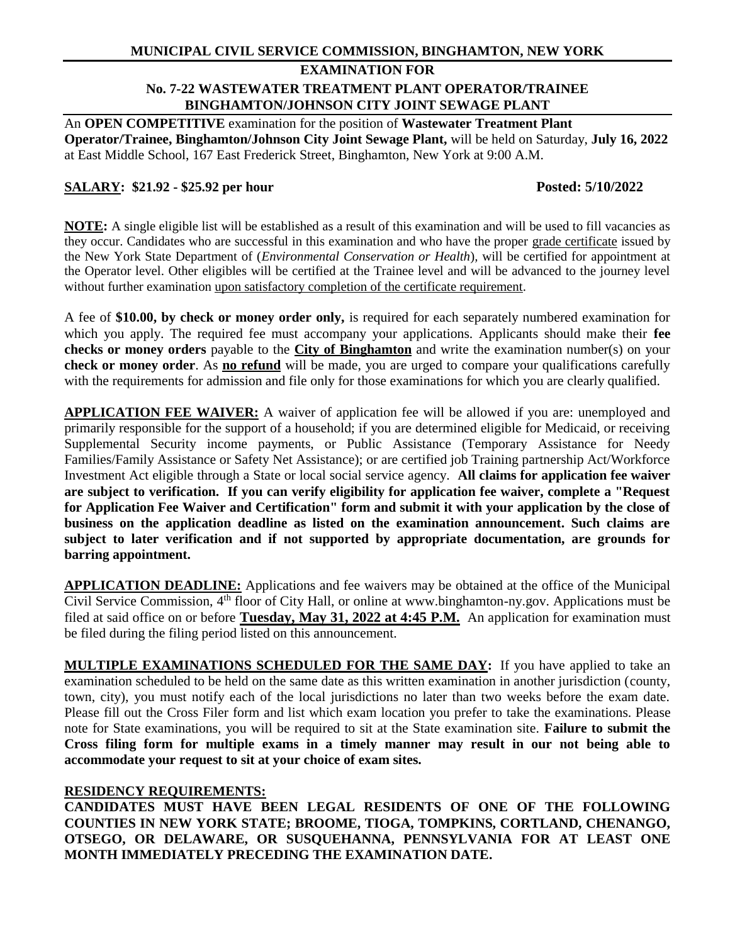#### **EXAMINATION FOR**

# **No. 7-22 WASTEWATER TREATMENT PLANT OPERATOR/TRAINEE BINGHAMTON/JOHNSON CITY JOINT SEWAGE PLANT**

An **OPEN COMPETITIVE** examination for the position of **Wastewater Treatment Plant Operator/Trainee, Binghamton/Johnson City Joint Sewage Plant,** will be held on Saturday, **July 16, 2022** at East Middle School, 167 East Frederick Street, Binghamton, New York at 9:00 A.M.

# **SALARY: \$21.92 - \$25.92 per hour Posted: 5/10/2022**

**NOTE:** A single eligible list will be established as a result of this examination and will be used to fill vacancies as they occur. Candidates who are successful in this examination and who have the proper grade certificate issued by the New York State Department of (*Environmental Conservation or Health*)*,* will be certified for appointment at the Operator level. Other eligibles will be certified at the Trainee level and will be advanced to the journey level without further examination upon satisfactory completion of the certificate requirement.

A fee of **\$10.00, by check or money order only,** is required for each separately numbered examination for which you apply. The required fee must accompany your applications. Applicants should make their **fee checks or money orders** payable to the **City of Binghamton** and write the examination number(s) on your **check or money order**. As **no refund** will be made, you are urged to compare your qualifications carefully with the requirements for admission and file only for those examinations for which you are clearly qualified.

**APPLICATION FEE WAIVER:** A waiver of application fee will be allowed if you are: unemployed and primarily responsible for the support of a household; if you are determined eligible for Medicaid, or receiving Supplemental Security income payments, or Public Assistance (Temporary Assistance for Needy Families/Family Assistance or Safety Net Assistance); or are certified job Training partnership Act/Workforce Investment Act eligible through a State or local social service agency. **All claims for application fee waiver are subject to verification. If you can verify eligibility for application fee waiver, complete a "Request for Application Fee Waiver and Certification" form and submit it with your application by the close of business on the application deadline as listed on the examination announcement. Such claims are subject to later verification and if not supported by appropriate documentation, are grounds for barring appointment.**

**APPLICATION DEADLINE:** Applications and fee waivers may be obtained at the office of the Municipal Civil Service Commission, 4th floor of City Hall, or online at www.binghamton-ny.gov. Applications must be filed at said office on or before **Tuesday, May 31, 2022 at 4:45 P.M.** An application for examination must be filed during the filing period listed on this announcement.

**MULTIPLE EXAMINATIONS SCHEDULED FOR THE SAME DAY:** If you have applied to take an examination scheduled to be held on the same date as this written examination in another jurisdiction (county, town, city), you must notify each of the local jurisdictions no later than two weeks before the exam date. Please fill out the Cross Filer form and list which exam location you prefer to take the examinations. Please note for State examinations, you will be required to sit at the State examination site. **Failure to submit the Cross filing form for multiple exams in a timely manner may result in our not being able to accommodate your request to sit at your choice of exam sites.**

#### **RESIDENCY REQUIREMENTS:**

**CANDIDATES MUST HAVE BEEN LEGAL RESIDENTS OF ONE OF THE FOLLOWING COUNTIES IN NEW YORK STATE; BROOME, TIOGA, TOMPKINS, CORTLAND, CHENANGO, OTSEGO, OR DELAWARE, OR SUSQUEHANNA, PENNSYLVANIA FOR AT LEAST ONE MONTH IMMEDIATELY PRECEDING THE EXAMINATION DATE.**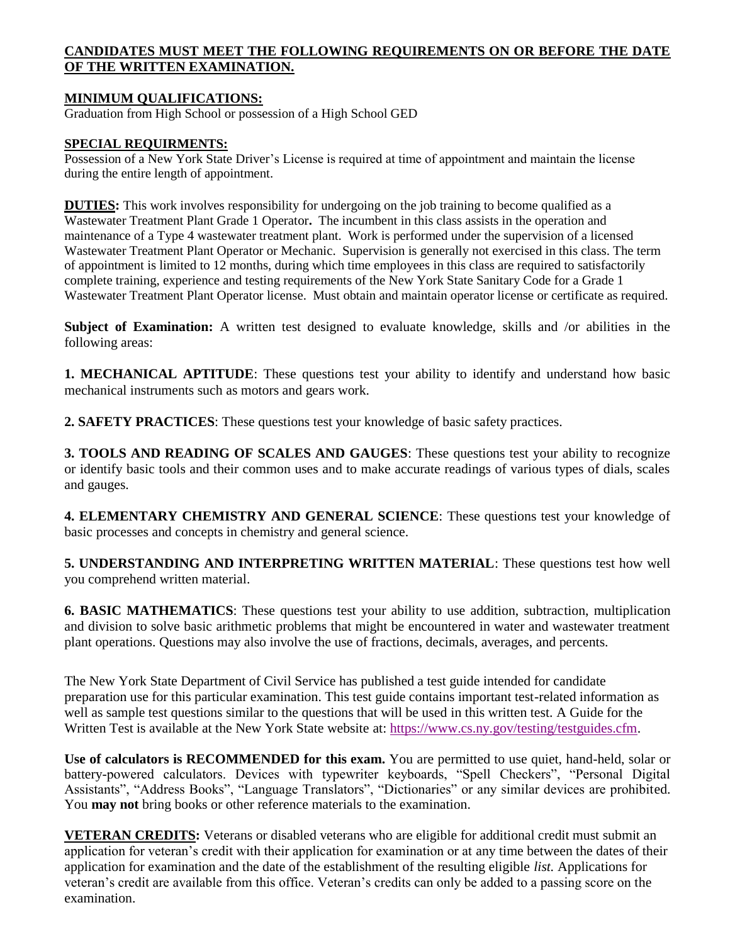# **CANDIDATES MUST MEET THE FOLLOWING REQUIREMENTS ON OR BEFORE THE DATE OF THE WRITTEN EXAMINATION.**

# **MINIMUM QUALIFICATIONS:**

Graduation from High School or possession of a High School GED

#### **SPECIAL REQUIRMENTS:**

Possession of a New York State Driver's License is required at time of appointment and maintain the license during the entire length of appointment.

**DUTIES:** This work involves responsibility for undergoing on the job training to become qualified as a Wastewater Treatment Plant Grade 1 Operator**.** The incumbent in this class assists in the operation and maintenance of a Type 4 wastewater treatment plant. Work is performed under the supervision of a licensed Wastewater Treatment Plant Operator or Mechanic. Supervision is generally not exercised in this class. The term of appointment is limited to 12 months, during which time employees in this class are required to satisfactorily complete training, experience and testing requirements of the New York State Sanitary Code for a Grade 1 Wastewater Treatment Plant Operator license. Must obtain and maintain operator license or certificate as required.

**Subject of Examination:** A written test designed to evaluate knowledge, skills and /or abilities in the following areas:

**1. MECHANICAL APTITUDE**: These questions test your ability to identify and understand how basic mechanical instruments such as motors and gears work.

**2. SAFETY PRACTICES**: These questions test your knowledge of basic safety practices.

**3. TOOLS AND READING OF SCALES AND GAUGES**: These questions test your ability to recognize or identify basic tools and their common uses and to make accurate readings of various types of dials, scales and gauges.

**4. ELEMENTARY CHEMISTRY AND GENERAL SCIENCE**: These questions test your knowledge of basic processes and concepts in chemistry and general science.

**5. UNDERSTANDING AND INTERPRETING WRITTEN MATERIAL**: These questions test how well you comprehend written material.

**6. BASIC MATHEMATICS**: These questions test your ability to use addition, subtraction, multiplication and division to solve basic arithmetic problems that might be encountered in water and wastewater treatment plant operations. Questions may also involve the use of fractions, decimals, averages, and percents.

The New York State Department of Civil Service has published a test guide intended for candidate preparation use for this particular examination. This test guide contains important test-related information as well as sample test questions similar to the questions that will be used in this written test. A Guide for the Written Test is available at the New York State website at: [https://www.cs.ny.gov/testing/testguides.cfm.](https://www.cs.ny.gov/testing/testguides.cfm)

**Use of calculators is RECOMMENDED for this exam.** You are permitted to use quiet, hand-held, solar or battery-powered calculators. Devices with typewriter keyboards, "Spell Checkers", "Personal Digital Assistants", "Address Books", "Language Translators", "Dictionaries" or any similar devices are prohibited. You **may not** bring books or other reference materials to the examination.

**VETERAN CREDITS:** Veterans or disabled veterans who are eligible for additional credit must submit an application for veteran's credit with their application for examination or at any time between the dates of their application for examination and the date of the establishment of the resulting eligible *list.* Applications for veteran's credit are available from this office. Veteran's credits can only be added to a passing score on the examination.